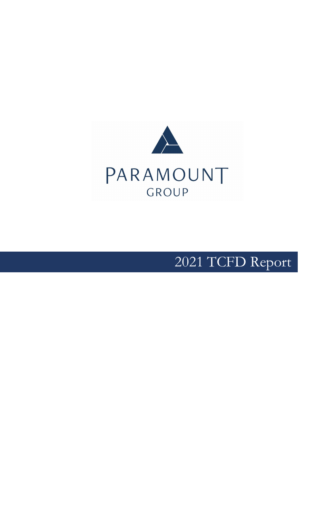

# TCFD Report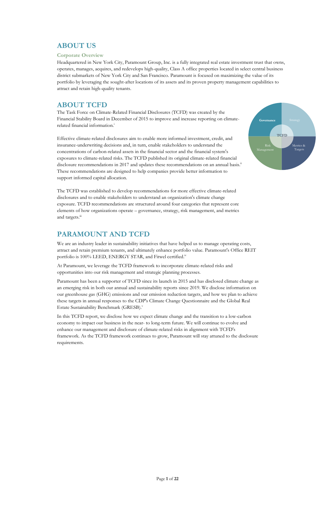Page **1** of **22**

# **ABOUT US**

#### **Corporate Overview**

The Task Force on Climate-Related Financial Disclosures (TCFD) was created by the Financial Stability Board in December of 2015 to improve and increase reporting on climaterelated financial information.<sup>i</sup>

Headquartered in New York City, Paramount Group, Inc. is a fully integrated real estate investment trust that owns, operates, manages, acquires, and redevelops high-quality, Class A office properties located in select central business district submarkets of New York City and San Francisco. Paramount is focused on maximizing the value of its portfolio by leveraging the sought-after locations of its assets and its proven property management capabilities to attract and retain high-quality tenants.

# **ABOUT TCFD**

The TCFD was established to develop recommendations for more effective climate-related disclosures and to enable stakeholders to understand an organization's climate change exposure. TCFD recommendations are structured around four categories that represent core elements of how organizations operate – governance, strategy, risk management, and metrics and targets.<sup>iii</sup>

We are an industry leader in sustainability initiatives that have helped us to manage operating costs, attract and retain premium tenants, and ultimately enhance portfolio value. Paramount's Office REIT portfolio is 100% LEED, ENERGY STAR, and Fitwel certified.<sup>iv</sup>

Effective climate-related disclosures aim to enable more informed investment, credit, and insurance-underwriting decisions and, in turn, enable stakeholders to understand the concentrations of carbon-related assets in the financial sector and the financial system's exposures to climate-related risks. The TCFD published its original climate-related financial disclosure recommendations in 2017 and updates these recommendations on an annual basis.<sup>ii</sup> These recommendations are designed to help companies provide better information to support informed capital allocation.

Paramount has been a supporter of TCFD since its launch in 2015 and has disclosed climate change as an emerging risk in both our annual and sustainability reports since 2019. We disclose information on our greenhouse gas (GHG) emissions and our emission reduction targets, and how we plan to achieve these targets in annual responses to the CDP's Climate Change Questionnaire and the Global Real Estate Sustainability Benchmark (GRESB).<sup>v</sup>

# **PARAMOUNT AND TCFD**

At Paramount, we leverage the TCFD framework to incorporate climate-related risks and opportunities into our risk management and strategic planning processes.

In this TCFD report, we disclose how we expect climate change and the transition to a low-carbon economy to impact our business in the near- to long-term future. We will continue to evolve and enhance our management and disclosure of climate-related risks in alignment with TCFD's framework. As the TCFD framework continues to grow, Paramount will stay attuned to the disclosure requirements.

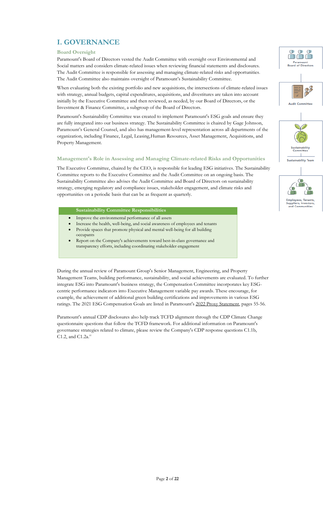Page **2** of **22**

# **I. GOVERNANCE**

#### **Board Oversight**

Paramount's Board of Directors vested the Audit Committee with oversight over Environmental and Social matters and considers climate-related issues when reviewing financial statements and disclosures. The Audit Committee is responsible for assessing and managing climate-related risks and opportunities. The Audit Committee also maintains oversight of Paramount's Sustainability Committee.

When evaluating both the existing portfolio and new acquisitions, the intersections of climate-related issues with strategy, annual budgets, capital expenditures, acquisitions, and divestitures are taken into account initially by the Executive Committee and then reviewed, as needed, by our Board of Directors, or the Investment & Finance Committee, a subgroup of the Board of Directors.

Paramount's Sustainability Committee was created to implement Paramount's ESG goals and ensure they are fully integrated into our business strategy. The Sustainability Committee is chaired by Gage Johnson, Paramount's General Counsel, and also has management-level representation across all departments of the organization, including Finance, Legal, Leasing,Human Resources, Asset Management, Acquisitions, and Property Management.

- Improve the environmental performance of all assets
- Increase the health, well-being, and social awareness of employees and tenants
- Provide spaces that promote physical and mental well-being for all building occupants
- Report on the Company's achievements toward best-in-class governance and transparency efforts, including coordinating stakeholder engagement

#### **Management's Role in Assessing and Managing Climate-related Risks and Opportunities**

Paramount's annual CDP disclosures also help track TCFD alignment through the CDP Climate Change questionnaire questions that follow the TCFD framework. For additional information on Paramount's governance strategies related to climate, please review the Company's CDP response questions C1.1b, C1.2, and C1.2a. $v$ i









The Executive Committee, chaired by the CEO, is responsible for leading ESG initiatives. The Sustainability Committee reports to the Executive Committee and the Audit Committee on an ongoing basis. The Sustainability Committee also advises the Audit Committee and Board of Directors on sustainability strategy, emerging regulatory and compliance issues, stakeholder engagement, and climate risks and opportunities on a periodic basis that can be as frequent as quarterly.

#### **Sustainability Committee Responsibilities**

During the annual review of Paramount Group's Senior Management, Engineering, and Property Management Teams, building performance, sustainability, and social achievements are evaluated. To further integrate ESG into Paramount's business strategy, the Compensation Committee incorporates key ESGcentric performance indicators into Executive Management variable pay awards. These encourage, for example, the achievement of additional green building certifications and improvements in various ESG ratings. The 2021 ESG Compensation Goals are listed in Paramount's [2022 Proxy Statement,](http://s23.q4cdn.com/903958510/files/doc_downloads/SEC_replacements/PGRE-2022-Proxy.pdf) pages 55-56.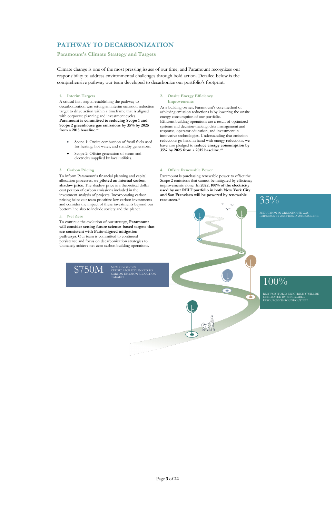Page **3** of **22**

# **PATHWAY TO DECARBONIZATION**

#### **Paramount's Climate Strategy and Targets**

Climate change is one of the most pressing issues of our time, and Paramount recognizes our responsibility to address environmental challenges through bold action. Detailed below is the comprehensive pathway our team developed to decarbonize our portfolio's footprint.

#### **1. Interim Targets**

A critical first step in establishing the pathway to decarbonization was setting an interim emission reduction target to drive action within a timeframe that is aligned with corporate planning and investment cycles. **Paramount is committed to reducing Scope 1 and Scope 2 greenhouse gas emissions by 35% by 2025 from a 2015 baseline.vii**

- Scope 1: Onsite combustion of fossil fuels used for heating, hot water, and standby generators.
- Scope 2: Offsite generation of steam and electricity supplied by local utilities.

#### **2. Onsite Energy Efficiency Improvements**

As a building owner, Paramount's core method of achieving emission reductions is by lowering the onsite energy consumption of our portfolio. Efficient building operations are a result of optimized systems and decision-making, data management and response, operator education, and investment in innovative technologies. Understanding that emission reductions go hand in hand with energy reductions, we have also pledged to **reduce energy consumption by 35% by 2025 from a 2015 baseline**. viii

#### **3. Carbon Pricing**

To inform Paramount's financial planning and capital allocation processes, we **piloted an internal carbon**  shadow price. The shadow price is a theoretical dollar cost per ton of carbon emissions included in the investment analysis of projects. Incorporating carbon pricing helps our team prioritize low carbon investments and consider the impact of these investments beyond our bottom line also to include society and the planet.

#### **4. Offsite Renewable Power**

Paramount is purchasing renewable power to offset the Scope 2 emissions that cannot be mitigated by efficiency improvements alone. **In 2022, 100% of the electricity used by our REIT portfolio in both New York City and San Francisco will be powered by renewable resources**. ix

 $35\%$ 

#### **5. Net Zero**

To continue the evolution of our strategy, **Paramount will consider setting future science-based targets that are consistent with Paris-aligned mitigation pathways**. Our team is committed to continued persistence and focus on decarbonization strategies to ultimately achieve net-zero carbon building operations.

 $$750M$  NEW REVOLVING<br>CARBON EMISSION REDUCTION

REDUCTION IN GREENHOUSE GAS EMISSIONS BY 2025 FROM A 2015 BASELINE

# TARGETS 100%

Ъ

REIT PORTFOLIO ELECTRICITY WILL BE GENERATED BY RENEWABLE RESOURCES THROUGHOUT 2022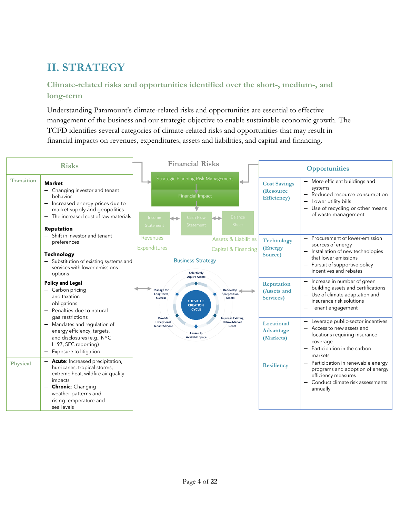# **II. STRATEGY**

#### **Climate-related risks and opportunities identified over the short-, medium-, and long-term**

Understanding Paramount's climate-related risks and opportunities are essential to effective management of the business and our strategic objective to enable sustainable economic growth. The TCFD identifies several categories of climate-related risks and opportunities that may result in financial impacts on revenues, expenditures, assets and liabilities, and capital and financing.

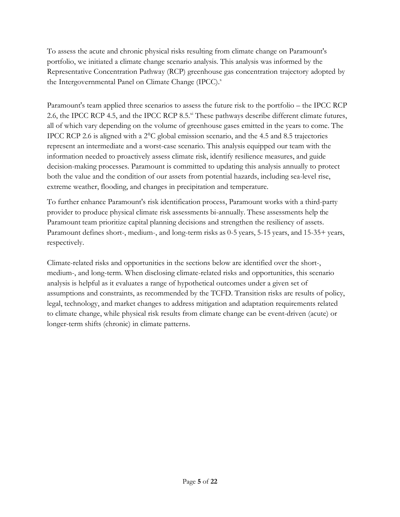To assess the acute and chronic physical risks resulting from climate change on Paramount's portfolio, we initiated a climate change scenario analysis. This analysis was informed by the Representative Concentration Pathway (RCP) greenhouse gas concentration trajectory adopted by the Intergovernmental Panel on Climate Change (IPCC).<sup>x</sup>

Paramount's team applied three scenarios to assess the future risk to the portfolio – the IPCC RCP 2.6, the IPCC RCP 4.5, and the IPCC RCP 8.5.<sup>xi</sup> These pathways describe different climate futures, all of which vary depending on the volume of greenhouse gases emitted in the years to come. The IPCC RCP 2.6 is aligned with a 2°C global emission scenario, and the 4.5 and 8.5 trajectories represent an intermediate and a worst-case scenario. This analysis equipped our team with the information needed to proactively assess climate risk, identify resilience measures, and guide decision-making processes. Paramount is committed to updating this analysis annually to protect both the value and the condition of our assets from potential hazards, including sea-level rise, extreme weather, flooding, and changes in precipitation and temperature.

To further enhance Paramount's risk identification process, Paramount works with a third-party provider to produce physical climate risk assessments bi-annually. These assessments help the Paramount team prioritize capital planning decisions and strengthen the resiliency of assets. Paramount defines short-, medium-, and long-term risks as 0-5 years, 5-15 years, and 15-35+ years, respectively.

Climate-related risks and opportunities in the sections below are identified over the short-, medium-, and long-term. When disclosing climate-related risks and opportunities, this scenario analysis is helpful as it evaluates a range of hypothetical outcomes under a given set of assumptions and constraints, as recommended by the TCFD. Transition risks are results of policy, legal, technology, and market changes to address mitigation and adaptation requirements related to climate change, while physical risk results from climate change can be event-driven (acute) or longer-term shifts (chronic) in climate patterns.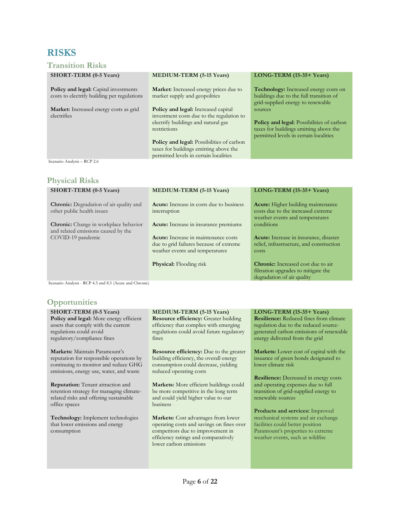# **RISKS**

#### **Transition Risks**

| <b>SHORT-TERM (0-5 Years)</b>                                                               | <b>MEDIUM-TERM (5-15 Years)</b>                                                                                                                                                                                                                                                        | LONG-TERM (15-35+ Years)                                                                                                                        |
|---------------------------------------------------------------------------------------------|----------------------------------------------------------------------------------------------------------------------------------------------------------------------------------------------------------------------------------------------------------------------------------------|-------------------------------------------------------------------------------------------------------------------------------------------------|
| <b>Policy and legal:</b> Capital investments<br>costs to electrify building per regulations | <b>Market:</b> Increased energy prices due to<br>market supply and geopolitics                                                                                                                                                                                                         | <b>Technology:</b> Increased energy costs on<br>buildings due to the full transition of<br>grid-supplied energy to renewable                    |
| <b>Market:</b> Increased energy costs as grid<br>electrifies                                | <b>Policy and legal:</b> Increased capital<br>investment costs due to the regulation to<br>electrify buildings and natural gas<br>restrictions<br><b>Policy and legal:</b> Possibilities of carbon<br>taxes for buildings emitting above the<br>permitted levels in certain localities | sources<br><b>Policy and legal:</b> Possibilities of carbon<br>taxes for buildings emitting above the<br>permitted levels in certain localities |
| Scenario Analysis - RCP 2.6                                                                 |                                                                                                                                                                                                                                                                                        |                                                                                                                                                 |

#### **Physical Risks**

| <b>SHORT-TERM (0-5 Years)</b>                                                                            | <b>MEDIUM-TERM (5-15 Years)</b>                                                                                                                                    | LONG-TERM (15-35+ Years)                                                                                           |
|----------------------------------------------------------------------------------------------------------|--------------------------------------------------------------------------------------------------------------------------------------------------------------------|--------------------------------------------------------------------------------------------------------------------|
| <b>Chronic:</b> Degradation of air quality and<br>other public health issues                             | <b>Acute:</b> Increase in costs due to business<br>interruption                                                                                                    | <b>Acute:</b> Higher building maintenance<br>costs due to the increased extreme<br>weather events and temperatures |
| <b>Chronic:</b> Change in workplace behavior<br>and related emissions caused by the<br>COVID-19 pandemic | Acute: Increase in insurance premiums<br><b>Acute:</b> Increase in maintenance costs<br>due to grid failures because of extreme<br>weather events and temperatures | conditions<br>Acute: Increase in insurance, disaster<br>relief, infrastructure, and construction<br>costs          |
|                                                                                                          | <b>Physical:</b> Flooding risk                                                                                                                                     | <b>Chronic:</b> Increased cost due to air<br>filtration upgrades to mitigate the<br>degradation of air quality     |

Scenario Analysis - RCP 4.5 and 8.5 (Acute and Chronic)

**Technology:** Implement technologies that lower emissions and energy

#### **Opportunities**

office spaces

consumption

| <b>SHORT-TERM (0-5 Years)</b>                  | <b>MEDIUM-TERM (5-15 Years)</b>                | LONG-TERM (15-35+ Years)                       |
|------------------------------------------------|------------------------------------------------|------------------------------------------------|
| <b>Policy and legal:</b> More energy efficient | <b>Resource efficiency:</b> Greater building   | <b>Resilience:</b> Reduced fines from climate  |
| assets that comply with the current            | efficiency that complies with emerging         | regulation due to the reduced source-          |
| regulations could avoid                        | regulations could avoid future regulatory      | generated carbon emissions of renewable        |
| regulatory/compliance fines                    | fines                                          | energy delivered from the grid                 |
|                                                |                                                |                                                |
| Markets: Maintain Paramount's                  | <b>Resource efficiency:</b> Due to the greater | <b>Markets:</b> Lower cost of capital with the |
| reputation for responsible operations by       | building efficiency, the overall energy        | issuance of green bonds designated to          |
| continuing to monitor and reduce GHG           | consumption could decrease, yielding           | lower climate risk                             |
| emissions, energy use, water, and waste        | reduced operating costs                        |                                                |
|                                                |                                                | <b>Resilience:</b> Decreased in energy costs   |
| <b>Reputation:</b> Tenant attraction and       | <b>Markets:</b> More efficient buildings could | and operating expenses due to full             |
| retention strategy for managing climate-       | be more competitive in the long term           | transition of grid-supplied energy to          |
| related risks and offering sustainable         | and could yield higher value to our            | renewable sources                              |

**Markets:** Cost advantages from lower operating costs and savings on fines over competitors due to improvement in efficiency ratings and comparatively lower carbon emissions

business

#### **Products and services:** Improved mechanical systems and air exchange facilities could better position Paramount's properties to extreme weather events, such as wildfire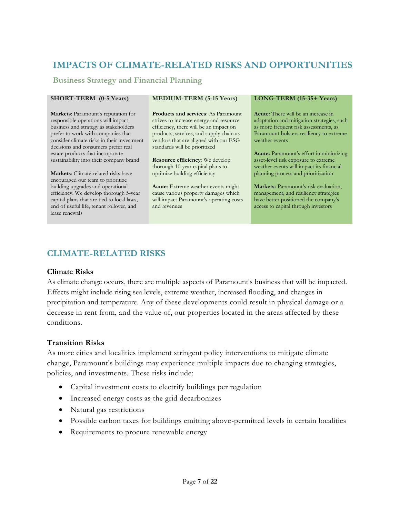# **IMPACTS OF CLIMATE-RELATED RISKS AND OPPORTUNITIES**

#### **Business Strategy and Financial Planning**

**Markets**: Paramount's reputation for responsible operations will impact business and strategy as stakeholders prefer to work with companies that consider climate risks in their investment decisions and consumers prefer real estate products that incorporate sustainability into their company brand

**Markets**: Climate-related risks have encouraged our team to prioritize building upgrades and operational efficiency. We develop thorough 5-year capital plans that are tied to local laws, end of useful life, tenant rollover, and lease renewals

**Products and services**: As Paramount strives to increase energy and resource efficiency, there will be an impact on products, services, and supply chain as vendors that are aligned with our ESG standards will be prioritized

**Resource efficiency**: We develop thorough 10-year capital plans to optimize building efficiency

**Acute**: Extreme weather events might cause various property damages which will impact Paramount's operating costs and revenues

#### **SHORT-TERM (0-5 Years) MEDIUM-TERM (5-15 Years) LONG-TERM (15-35+ Years)**

**Acute:** There will be an increase in adaptation and mitigation strategies, such as more frequent risk assessments, as Paramount bolsters resiliency to extreme weather events

**Acute:** Paramount's effort in minimizing asset-level risk exposure to extreme weather events will impact its financial planning process and prioritization

**Markets:** Paramount's risk evaluation, management, and resiliency strategies have better positioned the company's access to capital through investors

## **CLIMATE-RELATED RISKS**

#### **Climate Risks**

As climate change occurs, there are multiple aspects of Paramount's business that will be impacted. Effects might include rising sea levels, extreme weather, increased flooding, and changes in precipitation and temperature. Any of these developments could result in physical damage or a decrease in rent from, and the value of, our properties located in the areas affected by these conditions.

#### **Transition Risks**

As more cities and localities implement stringent policy interventions to mitigate climate change, Paramount's buildings may experience multiple impacts due to changing strategies, policies, and investments. These risks include:

- Capital investment costs to electrify buildings per regulation
- Increased energy costs as the grid decarbonizes
- Natural gas restrictions
- Possible carbon taxes for buildings emitting above-permitted levels in certain localities
- Requirements to procure renewable energy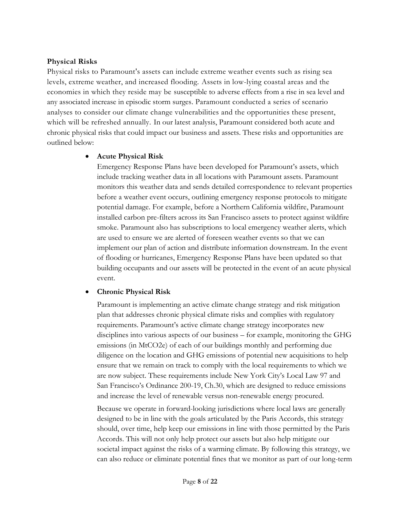#### **Physical Risks**

Physical risks to Paramount's assets can include extreme weather events such as rising sea levels, extreme weather, and increased flooding. Assets in low-lying coastal areas and the economies in which they reside may be susceptible to adverse effects from a rise in sea level and any associated increase in episodic storm surges. Paramount conducted a series of scenario analyses to consider our climate change vulnerabilities and the opportunities these present, which will be refreshed annually. In our latest analysis, Paramount considered both acute and chronic physical risks that could impact our business and assets. These risks and opportunities are outlined below:

#### • **Acute Physical Risk**

Emergency Response Plans have been developed for Paramount's assets, which include tracking weather data in all locations with Paramount assets. Paramount monitors this weather data and sends detailed correspondence to relevant properties before a weather event occurs, outlining emergency response protocols to mitigate potential damage. For example, before a Northern California wildfire, Paramount installed carbon pre-filters across its San Francisco assets to protect against wildfire smoke. Paramount also has subscriptions to local emergency weather alerts, which are used to ensure we are alerted of foreseen weather events so that we can implement our plan of action and distribute information downstream. In the event of flooding or hurricanes, Emergency Response Plans have been updated so that building occupants and our assets will be protected in the event of an acute physical event.

#### • **Chronic Physical Risk**

Paramount is implementing an active climate change strategy and risk mitigation plan that addresses chronic physical climate risks and complies with regulatory requirements. Paramount's active climate change strategy incorporates new disciplines into various aspects of our business – for example, monitoring the GHG emissions (in MtCO2e) of each of our buildings monthly and performing due diligence on the location and GHG emissions of potential new acquisitions to help ensure that we remain on track to comply with the local requirements to which we are now subject. These requirements include New York City's Local Law 97 and San Francisco's Ordinance 200-19, Ch.30, which are designed to reduce emissions and increase the level of renewable versus non-renewable energy procured.

Because we operate in forward-looking jurisdictions where local laws are generally designed to be in line with the goals articulated by the Paris Accords, this strategy should, over time, help keep our emissions in line with those permitted by the Paris Accords. This will not only help protect our assets but also help mitigate our societal impact against the risks of a warming climate. By following this strategy, we can also reduce or eliminate potential fines that we monitor as part of our long-term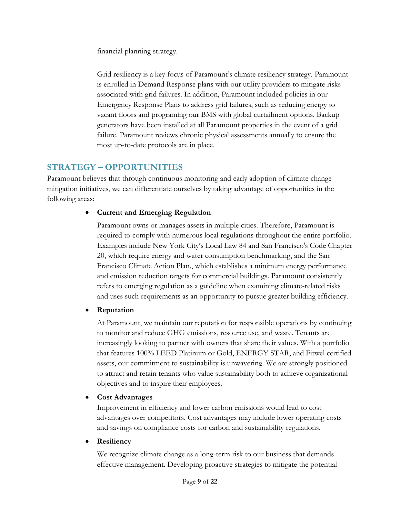financial planning strategy.

Grid resiliency is a key focus of Paramount's climate resiliency strategy. Paramount is enrolled in Demand Response plans with our utility providers to mitigate risks associated with grid failures. In addition, Paramount included policies in our Emergency Response Plans to address grid failures, such as reducing energy to vacant floors and programing our BMS with global curtailment options. Backup generators have been installed at all Paramount properties in the event of a grid failure. Paramount reviews chronic physical assessments annually to ensure the most up-to-date protocols are in place.

## **STRATEGY – OPPORTUNITIES**

Paramount believes that through continuous monitoring and early adoption of climate change mitigation initiatives, we can differentiate ourselves by taking advantage of opportunities in the following areas:

#### • **Current and Emerging Regulation**

Paramount owns or manages assets in multiple cities. Therefore, Paramount is required to comply with numerous local regulations throughout the entire portfolio. Examples include New York City's Local Law 84 and San Francisco's Code Chapter 20, which require energy and water consumption benchmarking, and the San Francisco Climate Action Plan., which establishes a minimum energy performance and emission reduction targets for commercial buildings. Paramount consistently refers to emerging regulation as a guideline when examining climate-related risks and uses such requirements as an opportunity to pursue greater building efficiency.

#### • **Reputation**

At Paramount, we maintain our reputation for responsible operations by continuing to monitor and reduce GHG emissions, resource use, and waste. Tenants are increasingly looking to partner with owners that share their values. With a portfolio that features 100% LEED Platinum or Gold, ENERGY STAR, and Fitwel certified assets, our commitment to sustainability is unwavering. We are strongly positioned to attract and retain tenants who value sustainability both to achieve organizational objectives and to inspire their employees.

#### • **Cost Advantages**

Improvement in efficiency and lower carbon emissions would lead to cost advantages over competitors. Cost advantages may include lower operating costs and savings on compliance costs for carbon and sustainability regulations.

#### • **Resiliency**

We recognize climate change as a long-term risk to our business that demands effective management. Developing proactive strategies to mitigate the potential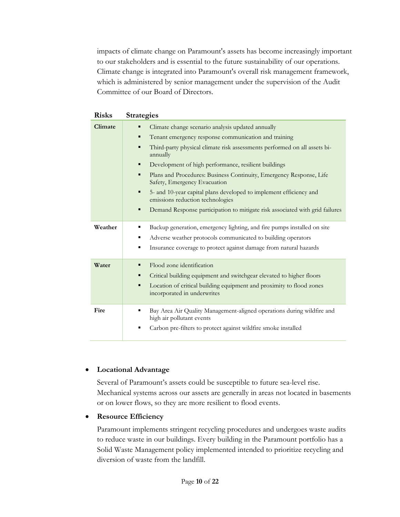impacts of climate change on Paramount's assets has become increasingly important to our stakeholders and is essential to the future sustainability of our operations. Climate change is integrated into Paramount's overall risk management framework, which is administered by senior management under the supervision of the Audit Committee of our Board of Directors.

| <b>Risks</b> | <b>Strategies</b>                                                                                                                                                                                                                                                                                                                                                                                                                                                                                                                                                          |
|--------------|----------------------------------------------------------------------------------------------------------------------------------------------------------------------------------------------------------------------------------------------------------------------------------------------------------------------------------------------------------------------------------------------------------------------------------------------------------------------------------------------------------------------------------------------------------------------------|
| Climate      | Climate change scenario analysis updated annually<br>Tenant emergency response communication and training<br>٠<br>Third-party physical climate risk assessments performed on all assets bi-<br>٠<br>annually<br>Development of high performance, resilient buildings<br>٠<br>Plans and Procedures: Business Continuity, Emergency Response, Life<br>Safety, Emergency Evacuation<br>5- and 10-year capital plans developed to implement efficiency and<br>emissions reduction technologies<br>Demand Response participation to mitigate risk associated with grid failures |
| Weather      | Backup generation, emergency lighting, and fire pumps installed on site<br>٠<br>Adverse weather protocols communicated to building operators<br>٠<br>Insurance coverage to protect against damage from natural hazards                                                                                                                                                                                                                                                                                                                                                     |
| Water        | Flood zone identification<br>Critical building equipment and switchgear elevated to higher floors<br>٠<br>Location of critical building equipment and proximity to flood zones<br>■<br>incorporated in underwrites                                                                                                                                                                                                                                                                                                                                                         |
| Fire         | Bay Area Air Quality Management-aligned operations during wildfire and<br>high air pollutant events<br>Carbon pre-filters to protect against wildfire smoke installed                                                                                                                                                                                                                                                                                                                                                                                                      |

#### • **Locational Advantage**

Several of Paramount's assets could be susceptible to future sea-level rise. Mechanical systems across our assets are generally in areas not located in basements or on lower flows, so they are more resilient to flood events.

#### • **Resource Efficiency**

Paramount implements stringent recycling procedures and undergoes waste audits to reduce waste in our buildings. Every building in the Paramount portfolio has a Solid Waste Management policy implemented intended to prioritize recycling and diversion of waste from the landfill.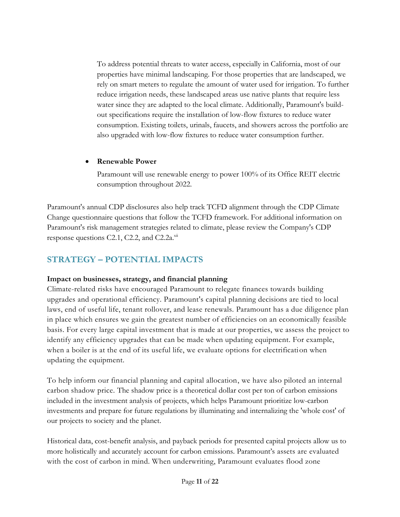To address potential threats to water access, especially in California, most of our properties have minimal landscaping. For those properties that are landscaped, we rely on smart meters to regulate the amount of water used for irrigation. To further reduce irrigation needs, these landscaped areas use native plants that require less water since they are adapted to the local climate. Additionally, Paramount's buildout specifications require the installation of low-flow fixtures to reduce water consumption. Existing toilets, urinals, faucets, and showers across the portfolio are also upgraded with low-flow fixtures to reduce water consumption further.

#### • **Renewable Power**

Paramount will use renewable energy to power 100% of its Office REIT electric consumption throughout 2022.

Paramount's annual CDP disclosures also help track TCFD alignment through the CDP Climate Change questionnaire questions that follow the TCFD framework. For additional information on Paramount's risk management strategies related to climate, please review the Company's CDP response questions C2.1, C2.2, and C2.2a. $xii$ 

# **STRATEGY – POTENTIAL IMPACTS**

#### **Impact on businesses, strategy, and financial planning**

Climate-related risks have encouraged Paramount to relegate finances towards building upgrades and operational efficiency. Paramount's capital planning decisions are tied to local laws, end of useful life, tenant rollover, and lease renewals. Paramount has a due diligence plan in place which ensures we gain the greatest number of efficiencies on an economically feasible basis. For every large capital investment that is made at our properties, we assess the project to identify any efficiency upgrades that can be made when updating equipment. For example, when a boiler is at the end of its useful life, we evaluate options for electrification when updating the equipment.

To help inform our financial planning and capital allocation, we have also piloted an internal carbon shadow price. The shadow price is a theoretical dollar cost per ton of carbon emissions included in the investment analysis of projects, which helps Paramount prioritize low-carbon investments and prepare for future regulations by illuminating and internalizing the 'whole cost' of our projects to society and the planet.

Historical data, cost-benefit analysis, and payback periods for presented capital projects allow us to more holistically and accurately account for carbon emissions. Paramount's assets are evaluated with the cost of carbon in mind. When underwriting, Paramount evaluates flood zone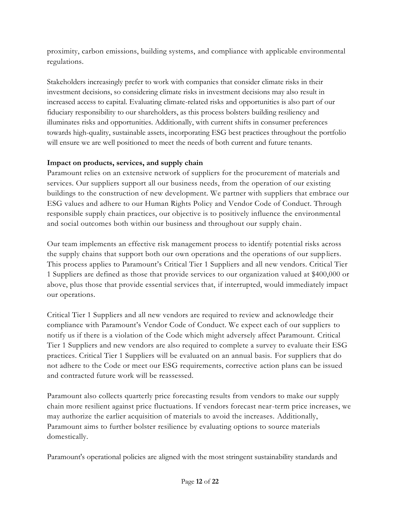proximity, carbon emissions, building systems, and compliance with applicable environmental regulations.

Stakeholders increasingly prefer to work with companies that consider climate risks in their investment decisions, so considering climate risks in investment decisions may also result in increased access to capital. Evaluating climate-related risks and opportunities is also part of our fiduciary responsibility to our shareholders, as this process bolsters building resiliency and illuminates risks and opportunities. Additionally, with current shifts in consumer preferences towards high-quality, sustainable assets, incorporating ESG best practices throughout the portfolio will ensure we are well positioned to meet the needs of both current and future tenants.

#### **Impact on products, services, and supply chain**

Paramount relies on an extensive network of suppliers for the procurement of materials and services. Our suppliers support all our business needs, from the operation of our existing buildings to the construction of new development. We partner with suppliers that embrace our ESG values and adhere to our Human Rights Policy and Vendor Code of Conduct. Through responsible supply chain practices, our objective is to positively influence the environmental and social outcomes both within our business and throughout our supply chain.

Our team implements an effective risk management process to identify potential risks across the supply chains that support both our own operations and the operations of our suppliers. This process applies to Paramount's Critical Tier 1 Suppliers and all new vendors. Critical Tier 1 Suppliers are defined as those that provide services to our organization valued at \$400,000 or above, plus those that provide essential services that, if interrupted, would immediately impact our operations.

Critical Tier 1 Suppliers and all new vendors are required to review and acknowledge their compliance with Paramount's Vendor Code of Conduct. We expect each of our suppliers to notify us if there is a violation of the Code which might adversely affect Paramount. Critical Tier 1 Suppliers and new vendors are also required to complete a survey to evaluate their ESG practices. Critical Tier 1 Suppliers will be evaluated on an annual basis. For suppliers that do not adhere to the Code or meet our ESG requirements, corrective action plans can be issued and contracted future work will be reassessed.

Paramount also collects quarterly price forecasting results from vendors to make our supply chain more resilient against price fluctuations. If vendors forecast near-term price increases, we may authorize the earlier acquisition of materials to avoid the increases. Additionally, Paramount aims to further bolster resilience by evaluating options to source materials domestically.

Paramount's operational policies are aligned with the most stringent sustainability standards and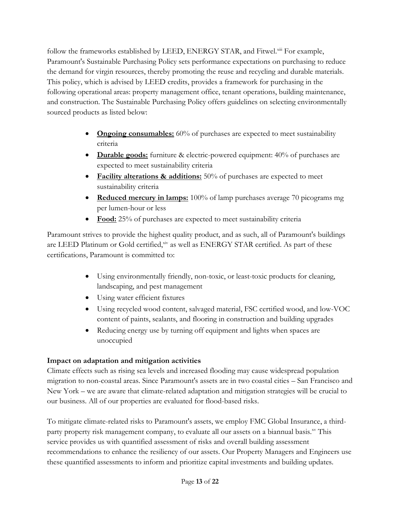follow the frameworks established by LEED, ENERGY STAR, and Fitwel.<sup>xiii</sup> For example, Paramount's Sustainable Purchasing Policy sets performance expectations on purchasing to reduce the demand for virgin resources, thereby promoting the reuse and recycling and durable materials. This policy, which is advised by LEED credits, provides a framework for purchasing in the following operational areas: property management office, tenant operations, building maintenance, and construction. The Sustainable Purchasing Policy offers guidelines on selecting environmentally sourced products as listed below:

- **Ongoing consumables:** 60% of purchases are expected to meet sustainability criteria
- **Durable goods:** furniture & electric-powered equipment: 40% of purchases are expected to meet sustainability criteria
- **Facility alterations & additions:** 50% of purchases are expected to meet sustainability criteria
- **Reduced mercury in lamps:** 100% of lamp purchases average 70 picograms mg per lumen-hour or less
- **Food:** 25% of purchases are expected to meet sustainability criteria

Paramount strives to provide the highest quality product, and as such, all of Paramount's buildings are LEED Platinum or Gold certified, xiv as well as ENERGY STAR certified. As part of these certifications, Paramount is committed to:

- Using environmentally friendly, non-toxic, or least-toxic products for cleaning, landscaping, and pest management
- Using water efficient fixtures
- Using recycled wood content, salvaged material, FSC certified wood, and low-VOC content of paints, sealants, and flooring in construction and building upgrades
- Reducing energy use by turning off equipment and lights when spaces are unoccupied

#### **Impact on adaptation and mitigation activities**

Climate effects such as rising sea levels and increased flooding may cause widespread population migration to non-coastal areas. Since Paramount's assets are in two coastal cities – San Francisco and New York – we are aware that climate-related adaptation and mitigation strategies will be crucial to our business. All of our properties are evaluated for flood-based risks.

To mitigate climate-related risks to Paramount's assets, we employ FMC Global Insurance, a thirdparty property risk management company, to evaluate all our assets on a biannual basis.xy This service provides us with quantified assessment of risks and overall building assessment recommendations to enhance the resiliency of our assets. Our Property Managers and Engineers use these quantified assessments to inform and prioritize capital investments and building updates.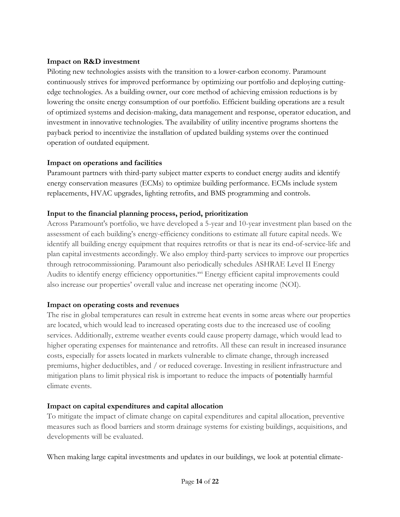#### **Impact on R&D investment**

Piloting new technologies assists with the transition to a lower-carbon economy. Paramount continuously strives for improved performance by optimizing our portfolio and deploying cuttingedge technologies. As a building owner, our core method of achieving emission reductions is by lowering the onsite energy consumption of our portfolio. Efficient building operations are a result of optimized systems and decision-making, data management and response, operator education, and investment in innovative technologies. The availability of utility incentive programs shortens the payback period to incentivize the installation of updated building systems over the continued operation of outdated equipment.

#### **Impact on operations and facilities**

Paramount partners with third-party subject matter experts to conduct energy audits and identify energy conservation measures (ECMs) to optimize building performance. ECMs include system replacements, HVAC upgrades, lighting retrofits, and BMS programming and controls.

#### **Input to the financial planning process, period, prioritization**

Across Paramount's portfolio, we have developed a 5-year and 10-year investment plan based on the assessment of each building's energy-efficiency conditions to estimate all future capital needs. We identify all building energy equipment that requires retrofits or that is near its end-of-service-life and plan capital investments accordingly. We also employ third-party services to improve our properties through retrocommissioning. Paramount also periodically schedules ASHRAE Level II Energy Audits to identify energy efficiency opportunities.<sup>xvi</sup> Energy efficient capital improvements could also increase our properties' overall value and increase net operating income (NOI).

#### **Impact on operating costs and revenues**

The rise in global temperatures can result in extreme heat events in some areas where our properties are located, which would lead to increased operating costs due to the increased use of cooling services. Additionally, extreme weather events could cause property damage, which would lead to higher operating expenses for maintenance and retrofits. All these can result in increased insurance costs, especially for assets located in markets vulnerable to climate change, through increased premiums, higher deductibles, and / or reduced coverage. Investing in resilient infrastructure and mitigation plans to limit physical risk is important to reduce the impacts of potentially harmful climate events.

#### **Impact on capital expenditures and capital allocation**

To mitigate the impact of climate change on capital expenditures and capital allocation, preventive measures such as flood barriers and storm drainage systems for existing buildings, acquisitions, and developments will be evaluated.

When making large capital investments and updates in our buildings, we look at potential climate-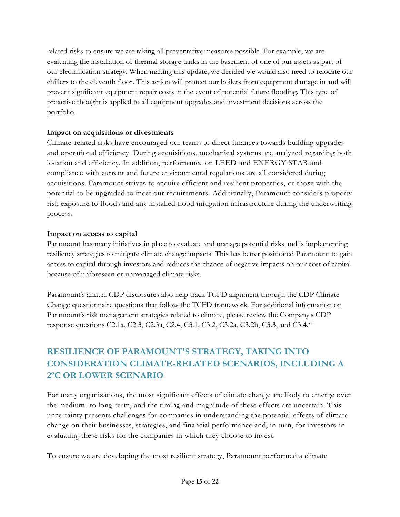related risks to ensure we are taking all preventative measures possible. For example, we are evaluating the installation of thermal storage tanks in the basement of one of our assets as part of our electrification strategy. When making this update, we decided we would also need to relocate our chillers to the eleventh floor. This action will protect our boilers from equipment damage in and will prevent significant equipment repair costs in the event of potential future flooding. This type of proactive thought is applied to all equipment upgrades and investment decisions across the portfolio.

#### **Impact on acquisitions or divestments**

Climate-related risks have encouraged our teams to direct finances towards building upgrades and operational efficiency. During acquisitions, mechanical systems are analyzed regarding both location and efficiency. In addition, performance on LEED and ENERGY STAR and compliance with current and future environmental regulations are all considered during acquisitions. Paramount strives to acquire efficient and resilient properties, or those with the potential to be upgraded to meet our requirements. Additionally, Paramount considers property risk exposure to floods and any installed flood mitigation infrastructure during the underwriting process.

#### **Impact on access to capital**

Paramount has many initiatives in place to evaluate and manage potential risks and is implementing resiliency strategies to mitigate climate change impacts. This has better positioned Paramount to gain access to capital through investors and reduces the chance of negative impacts on our cost of capital because of unforeseen or unmanaged climate risks.

Paramount's annual CDP disclosures also help track TCFD alignment through the CDP Climate Change questionnaire questions that follow the TCFD framework. For additional information on Paramount's risk management strategies related to climate, please review the Company's CDP response questions C2.1a, C2.3, C2.3a, C2.4, C3.1, C3.2, C3.2a, C3.2b, C3.3, and C3.4.xvii

# **RESILIENCE OF PARAMOUNT'S STRATEGY, TAKING INTO CONSIDERATION CLIMATE-RELATED SCENARIOS, INCLUDING A 2ºC OR LOWER SCENARIO**

For many organizations, the most significant effects of climate change are likely to emerge over the medium- to long-term, and the timing and magnitude of these effects are uncertain. This uncertainty presents challenges for companies in understanding the potential effects of climate change on their businesses, strategies, and financial performance and, in turn, for investors in evaluating these risks for the companies in which they choose to invest.

To ensure we are developing the most resilient strategy, Paramount performed a climate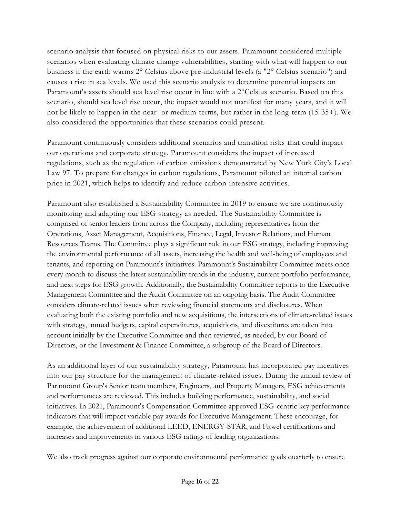scenario analysis that focused on physical risks to our assets. Paramount considered multiple scenarios when evaluating climate change vulnerabilities, starting with what will happen to our business if the earth warms 2° Celsius above pre-industrial levels (a "2° Celsius scenario") and causes a rise in sea levels. We used this scenario analysis to determine potential impacts on Paramount's assets should sea level rise occur in line with a 2°Celsius scenario. Based on this scenario, should sea level rise occur, the impact would not manifest for many years, and it will not be likely to happen in the near- or medium-terms, but rather in the long-term (15-35+). We also considered the opportunities that these scenarios could present.

Paramount continuously considers additional scenarios and transition risks that could impact our operations and corporate strategy. Paramount considers the impact of increased regulations, such as the regulation of carbon emissions demonstrated by New York City's Local Law 97. To prepare for changes in carbon regulations, Paramount piloted an internal carbon price in 2021, which helps to identify and reduce carbon-intensive activities.

Paramount also established a Sustainability Committee in 2019 to ensure we are continuously monitoring and adapting our ESG strategy as needed. The Sustainability Committee is comprised of senior leaders from across the Company, including representatives from the Operations, Asset Management, Acquisitions, Finance, Legal, Investor Relations, and Human Resources Teams. The Committee plays a significant role in our ESG strategy, including improving the environmental performance of all assets, increasing the health and well-being of employees and tenants, and reporting on Paramount's initiatives. Paramount's Sustainability Committee meets once every month to discuss the latest sustainability trends in the industry, current portfolio performance, and next steps for ESG growth. Additionally, the Sustainability Committee reports to the Executive Management Committee and the Audit Committee on an ongoing basis. The Audit Committee considers climate-related issues when reviewing financial statements and disclosures. When evaluating both the existing portfolio and new acquisitions, the intersections of climate-related issues with strategy, annual budgets, capital expenditures, acquisitions, and divestitures are taken into account initially by the Executive Committee and then reviewed, as needed, by our Board of Directors, or the Investment & Finance Committee, a subgroup of the Board of Directors.

As an additional layer of our sustainability strategy, Paramount has incorporated pay incentives into our pay structure for the management of climate-related issues. During the annual review of Paramount Group's Senior team members, Engineers, and Property Managers, ESG achievements and performances are reviewed. This includes building performance, sustainability, and social initiatives. In 2021, Paramount's Compensation Committee approved ESG-centric key performance indicators that will impact variable pay awards for Executive Management. These encourage, for example, the achievement of additional LEED, ENERGY-STAR, and Fitwel certifications and increases and improvements in various ESG ratings of leading organizations.

We also track progress against our corporate environmental performance goals quarterly to ensure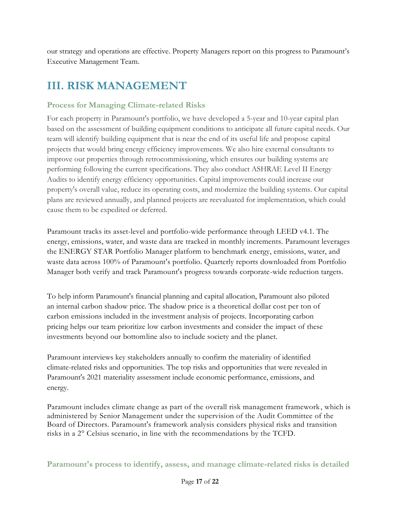our strategy and operations are effective. Property Managers report on this progress to Paramount's Executive Management Team.

# **III. RISK MANAGEMENT**

#### **Process for Managing Climate-related Risks**

For each property in Paramount's portfolio, we have developed a 5-year and 10-year capital plan based on the assessment of building equipment conditions to anticipate all future capital needs. Our team will identify building equipment that is near the end of its useful life and propose capital projects that would bring energy efficiency improvements. We also hire external consultants to improve our properties through retrocommissioning, which ensures our building systems are performing following the current specifications. They also conduct ASHRAE Level II Energy Audits to identify energy efficiency opportunities. Capital improvements could increase our property's overall value, reduce its operating costs, and modernize the building systems. Our capital plans are reviewed annually, and planned projects are reevaluated for implementation, which could cause them to be expedited or deferred.

Paramount tracks its asset-level and portfolio-wide performance through LEED v4.1. The energy, emissions, water, and waste data are tracked in monthly increments. Paramount leverages the ENERGY STAR Portfolio Manager platform to benchmark energy, emissions, water, and waste data across 100% of Paramount's portfolio. Quarterly reports downloaded from Portfolio Manager both verify and track Paramount's progress towards corporate-wide reduction targets.

To help inform Paramount's financial planning and capital allocation, Paramount also piloted an internal carbon shadow price. The shadow price is a theoretical dollar cost per ton of carbon emissions included in the investment analysis of projects. Incorporating carbon pricing helps our team prioritize low carbon investments and consider the impact of these investments beyond our bottomline also to include society and the planet.

Paramount interviews key stakeholders annually to confirm the materiality of identified climate-related risks and opportunities. The top risks and opportunities that were revealed in Paramount's 2021 materiality assessment include economic performance, emissions, and energy.

Paramount includes climate change as part of the overall risk management framework, which is administered by Senior Management under the supervision of the Audit Committee of the Board of Directors. Paramount's framework analysis considers physical risks and transition risks in a 2° Celsius scenario, in line with the recommendations by the TCFD.

**Paramount's process to identify, assess, and manage climate-related risks is detailed**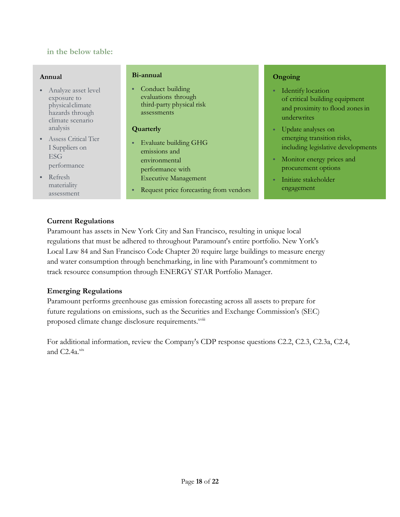#### **in the below table:**

#### **Annual**

- Analyze asset level exposure to physicalclimate hazards through climate scenario analysis
- Assess Critical Tier I Suppliers on ESG performance
- Refresh materiality assessment

#### **Bi-annual**

• Conduct building evaluations through third-party physical risk assessments

#### **Quarterly**

- Evaluate building GHG emissions and environmental performance with Executive Management
- Request price forecasting from vendors

#### **Ongoing**

- Identify location of critical building equipment and proximity to flood zones in underwrites
- Update analyses on emerging transition risks, including legislative developments
- Monitor energy prices and  $\bullet$  . procurement options
- Initiate stakeholder engagement

#### **Current Regulations**

Paramount has assets in New York City and San Francisco, resulting in unique local regulations that must be adhered to throughout Paramount's entire portfolio. New York's Local Law 84 and San Francisco Code Chapter 20 require large buildings to measure energy and water consumption through benchmarking, in line with Paramount's commitment to track resource consumption through ENERGY STAR Portfolio Manager.

#### **Emerging Regulations**

Paramount performs greenhouse gas emission forecasting across all assets to prepare for future regulations on emissions, such as the Securities and Exchange Commission's (SEC) proposed climate change disclosure requirements.<sup>xviii</sup>

For additional information, review the Company's CDP response questions C2.2, C2.3, C2.3a, C2.4, and  $C2.4a$ <sup>xix</sup>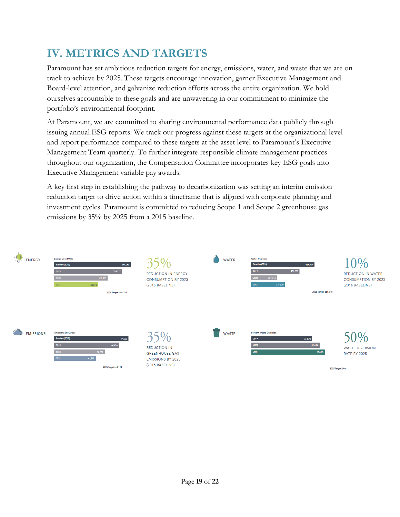# **IV. METRICS AND TARGETS**

Paramount has set ambitious reduction targets for energy, emissions, water, and waste that we are on track to achieve by 2025. These targets encourage innovation, garner Executive Management and Board-level attention, and galvanize reduction efforts across the entire organization. We hold ourselves accountable to these goals and are unwavering in our commitment to minimize the portfolio's environmental footprint.

At Paramount, we are committed to sharing environmental performance data publicly through issuing annual ESG reports. We track our progress against these targets at the organizational level and report performance compared to these targets at the asset level to Paramount's Executive Management Team quarterly. To further integrate responsible climate management practices throughout our organization, the Compensation Committee incorporates key ESG goals into Executive Management variable pay awards.

A key first step in establishing the pathway to decarbonization was setting an interim emission reduction target to drive action within a timeframe that is aligned with corporate planning and investment cycles. Paramount is committed to reducing Scope 1 and Scope 2 greenhouse gas emissions by 35% by 2025 from a 2015 baseline.

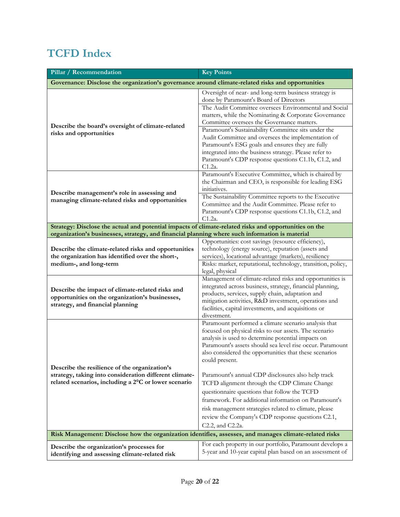# **TCFD Index**

| Pillar / Recommendation                                                                                                                                         | <b>Key Points</b>                                                                                                                                                                                                                                                                                                                                                                                                                                                                                                                                                                                                                         |  |
|-----------------------------------------------------------------------------------------------------------------------------------------------------------------|-------------------------------------------------------------------------------------------------------------------------------------------------------------------------------------------------------------------------------------------------------------------------------------------------------------------------------------------------------------------------------------------------------------------------------------------------------------------------------------------------------------------------------------------------------------------------------------------------------------------------------------------|--|
| Governance: Disclose the organization's governance around climate-related risks and opportunities                                                               |                                                                                                                                                                                                                                                                                                                                                                                                                                                                                                                                                                                                                                           |  |
|                                                                                                                                                                 | Oversight of near- and long-term business strategy is<br>done by Paramount's Board of Directors                                                                                                                                                                                                                                                                                                                                                                                                                                                                                                                                           |  |
|                                                                                                                                                                 | The Audit Committee oversees Environmental and Social<br>matters, while the Nominating & Corporate Governance                                                                                                                                                                                                                                                                                                                                                                                                                                                                                                                             |  |
| Describe the board's oversight of climate-related                                                                                                               | Committee oversees the Governance matters.<br>Paramount's Sustainability Committee sits under the                                                                                                                                                                                                                                                                                                                                                                                                                                                                                                                                         |  |
| risks and opportunities                                                                                                                                         | Audit Committee and oversees the implementation of<br>Paramount's ESG goals and ensures they are fully<br>integrated into the business strategy. Please refer to<br>Paramount's CDP response questions C1.1b, C1.2, and<br>$C1.2a$ .                                                                                                                                                                                                                                                                                                                                                                                                      |  |
| Describe management's role in assessing and<br>managing climate-related risks and opportunities                                                                 | Paramount's Executive Committee, which is chaired by<br>the Chairman and CEO, is responsible for leading ESG<br>initiatives.                                                                                                                                                                                                                                                                                                                                                                                                                                                                                                              |  |
|                                                                                                                                                                 | The Sustainability Committee reports to the Executive<br>Committee and the Audit Committee. Please refer to<br>Paramount's CDP response questions C1.1b, C1.2, and<br>C1.2a.                                                                                                                                                                                                                                                                                                                                                                                                                                                              |  |
| Strategy: Disclose the actual and potential impacts of climate-related risks and opportunities on the                                                           |                                                                                                                                                                                                                                                                                                                                                                                                                                                                                                                                                                                                                                           |  |
| organization's businesses, strategy, and financial planning where such information is material                                                                  | Opportunities: cost savings (resource efficiency),                                                                                                                                                                                                                                                                                                                                                                                                                                                                                                                                                                                        |  |
| Describe the climate-related risks and opportunities<br>the organization has identified over the short-,                                                        | technology (energy source), reputation (assets and<br>services), locational advantage (markets), resiliency                                                                                                                                                                                                                                                                                                                                                                                                                                                                                                                               |  |
| medium-, and long-term                                                                                                                                          | Risks: market, reputational, technology, transition, policy,<br>legal, physical                                                                                                                                                                                                                                                                                                                                                                                                                                                                                                                                                           |  |
| Describe the impact of climate-related risks and<br>opportunities on the organization's businesses,<br>strategy, and financial planning                         | Management of climate-related risks and opportunities is<br>integrated across business, strategy, financial planning,<br>products, services, supply chain, adaptation and<br>mitigation activities, R&D investment, operations and<br>facilities, capital investments, and acquisitions or<br>divestment.                                                                                                                                                                                                                                                                                                                                 |  |
| Describe the resilience of the organization's<br>strategy, taking into consideration different climate-<br>related scenarios, including a 2°C or lower scenario | Paramount performed a climate scenario analysis that<br>focused on physical risks to our assets. The scenario<br>analysis is used to determine potential impacts on<br>Paramount's assets should sea level rise occur. Paramount<br>also considered the opportunities that these scenarios<br>could present.<br>Paramount's annual CDP disclosures also help track<br>TCFD alignment through the CDP Climate Change<br>questionnaire questions that follow the TCFD<br>framework. For additional information on Paramount's<br>risk management strategies related to climate, please<br>review the Company's CDP response questions C2.1, |  |
| C2.2, and C2.2a.<br>Risk Management: Disclose how the organization identifies, assesses, and manages climate-related risks                                      |                                                                                                                                                                                                                                                                                                                                                                                                                                                                                                                                                                                                                                           |  |
| Describe the organization's processes for<br>identifying and assessing climate-related risk                                                                     | For each property in our portfolio, Paramount develops a<br>5-year and 10-year capital plan based on an assessment of                                                                                                                                                                                                                                                                                                                                                                                                                                                                                                                     |  |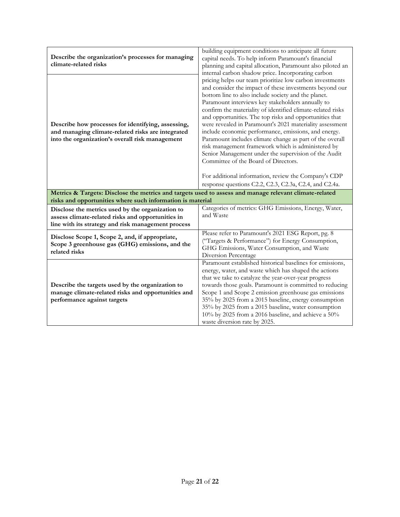| Describe the organization's processes for managing<br>climate-related risks                                                                                          | building equipment conditions to anticipate all future<br>capital needs. To help inform Paramount's financial<br>planning and capital allocation, Paramount also piloted an<br>internal carbon shadow price. Incorporating carbon                                                                                                                                                                                                                                                                                                                                                                                                                                                                                                                                                                                 |
|----------------------------------------------------------------------------------------------------------------------------------------------------------------------|-------------------------------------------------------------------------------------------------------------------------------------------------------------------------------------------------------------------------------------------------------------------------------------------------------------------------------------------------------------------------------------------------------------------------------------------------------------------------------------------------------------------------------------------------------------------------------------------------------------------------------------------------------------------------------------------------------------------------------------------------------------------------------------------------------------------|
| Describe how processes for identifying, assessing,<br>and managing climate-related risks are integrated<br>into the organization's overall risk management           | pricing helps our team prioritize low carbon investments<br>and consider the impact of these investments beyond our<br>bottom line to also include society and the planet.<br>Paramount interviews key stakeholders annually to<br>confirm the materiality of identified climate-related risks<br>and opportunities. The top risks and opportunities that<br>were revealed in Paramount's 2021 materiality assessment<br>include economic performance, emissions, and energy.<br>Paramount includes climate change as part of the overall<br>risk management framework which is administered by<br>Senior Management under the supervision of the Audit<br>Committee of the Board of Directors.<br>For additional information, review the Company's CDP<br>response questions C2.2, C2.3, C2.3a, C2.4, and C2.4a. |
| Metrics & Targets: Disclose the metrics and targets used to assess and manage relevant climate-related<br>risks and opportunities where such information is material |                                                                                                                                                                                                                                                                                                                                                                                                                                                                                                                                                                                                                                                                                                                                                                                                                   |
| Disclose the metrics used by the organization to<br>assess climate-related risks and opportunities in<br>line with its strategy and risk management process          | Categories of metrics: GHG Emissions, Energy, Water,<br>and Waste                                                                                                                                                                                                                                                                                                                                                                                                                                                                                                                                                                                                                                                                                                                                                 |
| Disclose Scope 1, Scope 2, and, if appropriate,<br>Scope 3 greenhouse gas (GHG) emissions, and the<br>related risks                                                  | Please refer to Paramount's 2021 ESG Report, pg. 8<br>("Targets & Performance") for Energy Consumption,<br>GHG Emissions, Water Consumption, and Waste<br>Diversion Percentage                                                                                                                                                                                                                                                                                                                                                                                                                                                                                                                                                                                                                                    |